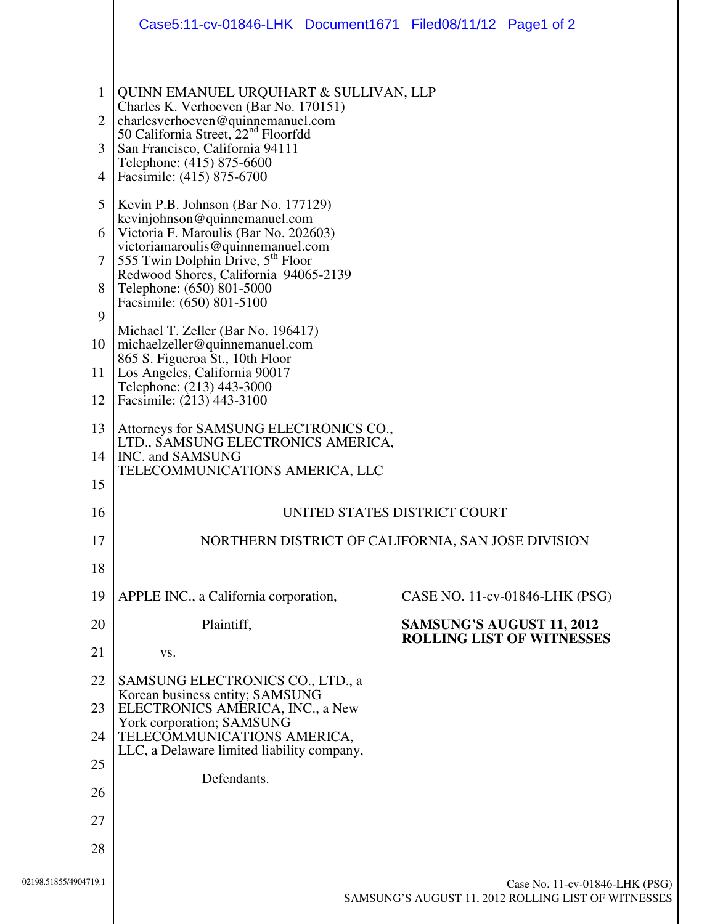|                                                     | Case5:11-cv-01846-LHK Document1671 Filed08/11/12 Page1 of 2                                                                                                                                                                                                                                                                                                                                                                                                                                                                                                                    |                                  |
|-----------------------------------------------------|--------------------------------------------------------------------------------------------------------------------------------------------------------------------------------------------------------------------------------------------------------------------------------------------------------------------------------------------------------------------------------------------------------------------------------------------------------------------------------------------------------------------------------------------------------------------------------|----------------------------------|
| $\overline{2}$<br>3<br>4<br>5<br>6  <br>$\tau$<br>8 | QUINN EMANUEL URQUHART & SULLIVAN, LLP<br>Charles K. Verhoeven (Bar No. 170151)<br>charlesverhoeven@quinnemanuel.com<br>50 California Street, 22 <sup>nd</sup> Floorfdd<br>San Francisco, California 94111<br>Telephone: (415) 875-6600<br>Facsimile: (415) 875-6700<br>Kevin P.B. Johnson (Bar No. 177129)<br>kevinjohnson@quinnemanuel.com<br>Victoria F. Maroulis (Bar No. 202603)<br>victoriamaroulis@quinnemanuel.com<br>555 Twin Dolphin Drive, 5 <sup>th</sup> Floor<br>Redwood Shores, California 94065-2139<br>Telephone: (650) 801-5000<br>Facsimile: (650) 801-5100 |                                  |
| 9<br>10 <sup>1</sup><br>11 <sup>1</sup><br>12       | Michael T. Zeller (Bar No. 196417)<br>michaelzeller@quinnemanuel.com<br>865 S. Figueroa St., 10th Floor<br>Los Angeles, California 90017<br>Telephone: (213) 443-3000<br>Facsimile: (213) 443-3100                                                                                                                                                                                                                                                                                                                                                                             |                                  |
| 13<br>14<br>15                                      | Attorneys for SAMSUNG ELECTRONICS CO.,<br>LTD., SAMSUNG ELECTRONICS AMERICA,<br>INC. and SAMSUNG<br>TELECOMMUNICATIONS AMERICA, LLC                                                                                                                                                                                                                                                                                                                                                                                                                                            |                                  |
| 16                                                  | UNITED STATES DISTRICT COURT                                                                                                                                                                                                                                                                                                                                                                                                                                                                                                                                                   |                                  |
| 17<br>18                                            | NORTHERN DISTRICT OF CALIFORNIA, SAN JOSE DIVISION                                                                                                                                                                                                                                                                                                                                                                                                                                                                                                                             |                                  |
| 19                                                  | APPLE INC., a California corporation,                                                                                                                                                                                                                                                                                                                                                                                                                                                                                                                                          | CASE NO. 11-cv-01846-LHK (PSG)   |
| 20                                                  | Plaintiff,                                                                                                                                                                                                                                                                                                                                                                                                                                                                                                                                                                     | SAMSUNG'S AUGUST 11, 2012        |
| 21                                                  | VS.                                                                                                                                                                                                                                                                                                                                                                                                                                                                                                                                                                            | <b>ROLLING LIST OF WITNESSES</b> |
| 22                                                  | SAMSUNG ELECTRONICS CO., LTD., a                                                                                                                                                                                                                                                                                                                                                                                                                                                                                                                                               |                                  |
| 23                                                  | Korean business entity; SAMSUNG<br>ELECTRONICS AMERICA, INC., a New                                                                                                                                                                                                                                                                                                                                                                                                                                                                                                            |                                  |
| 24                                                  | York corporation; SAMSUNG<br>TELECOMMUNICATIONS AMERICA,<br>LLC, a Delaware limited liability company,                                                                                                                                                                                                                                                                                                                                                                                                                                                                         |                                  |
| 25                                                  | Defendants.                                                                                                                                                                                                                                                                                                                                                                                                                                                                                                                                                                    |                                  |
| 26                                                  |                                                                                                                                                                                                                                                                                                                                                                                                                                                                                                                                                                                |                                  |
| 27                                                  |                                                                                                                                                                                                                                                                                                                                                                                                                                                                                                                                                                                |                                  |
| 28                                                  |                                                                                                                                                                                                                                                                                                                                                                                                                                                                                                                                                                                |                                  |
| 02198.51855/4904719.1                               | Case No. 11-cv-01846-LHK (PSG)                                                                                                                                                                                                                                                                                                                                                                                                                                                                                                                                                 |                                  |
|                                                     | SAMSUNG'S AUGUST 11, 2012 ROLLING LIST OF WITNESSES                                                                                                                                                                                                                                                                                                                                                                                                                                                                                                                            |                                  |